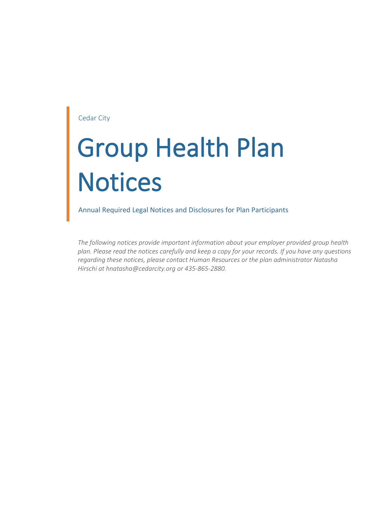Cedar City

# Group Health Plan Notices

Annual Required Legal Notices and Disclosures for Plan Participants

*The following notices provide important information about your employer provided group health plan. Please read the notices carefully and keep a copy for your records. If you have any questions regarding these notices, please contact Human Resources or the plan administrator Natasha Hirschi at hnatasha@cedarcity.org or 435-865-2880.*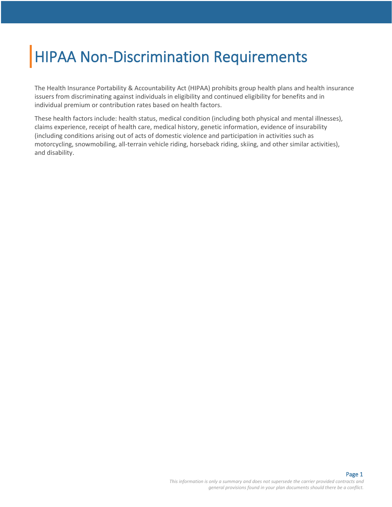# **HIPAA Non-Discrimination Requirements**

The Health Insurance Portability & Accountability Act (HIPAA) prohibits group health plans and health insurance issuers from discriminating against individuals in eligibility and continued eligibility for benefits and in individual premium or contribution rates based on health factors.

These health factors include: health status, medical condition (including both physical and mental illnesses), claims experience, receipt of health care, medical history, genetic information, evidence of insurability (including conditions arising out of acts of domestic violence and participation in activities such as motorcycling, snowmobiling, all-terrain vehicle riding, horseback riding, skiing, and other similar activities), and disability.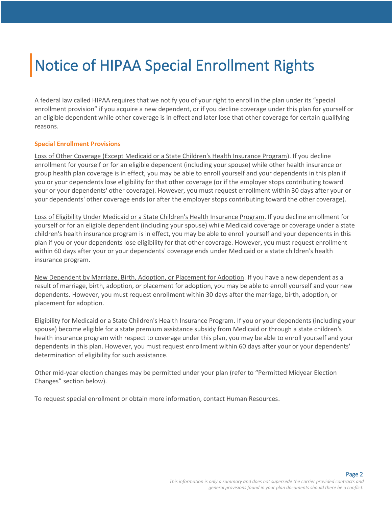# Notice of HIPAA Special Enrollment Rights

A federal law called HIPAA requires that we notify you of your right to enroll in the plan under its "special enrollment provision" if you acquire a new dependent, or if you decline coverage under this plan for yourself or an eligible dependent while other coverage is in effect and later lose that other coverage for certain qualifying reasons.

#### **Special Enrollment Provisions**

Loss of Other Coverage (Except Medicaid or a State Children's Health Insurance Program). If you decline enrollment for yourself or for an eligible dependent (including your spouse) while other health insurance or group health plan coverage is in effect, you may be able to enroll yourself and your dependents in this plan if you or your dependents lose eligibility for that other coverage (or if the employer stops contributing toward your or your dependents' other coverage). However, you must request enrollment within 30 days after your or your dependents' other coverage ends (or after the employer stops contributing toward the other coverage).

Loss of Eligibility Under Medicaid or a State Children's Health Insurance Program. If you decline enrollment for yourself or for an eligible dependent (including your spouse) while Medicaid coverage or coverage under a state children's health insurance program is in effect, you may be able to enroll yourself and your dependents in this plan if you or your dependents lose eligibility for that other coverage. However, you must request enrollment within 60 days after your or your dependents' coverage ends under Medicaid or a state children's health insurance program.

New Dependent by Marriage, Birth, Adoption, or Placement for Adoption. If you have a new dependent as a result of marriage, birth, adoption, or placement for adoption, you may be able to enroll yourself and your new dependents. However, you must request enrollment within 30 days after the marriage, birth, adoption, or placement for adoption.

Eligibility for Medicaid or a State Children's Health Insurance Program. If you or your dependents (including your spouse) become eligible for a state premium assistance subsidy from Medicaid or through a state children's health insurance program with respect to coverage under this plan, you may be able to enroll yourself and your dependents in this plan. However, you must request enrollment within 60 days after your or your dependents' determination of eligibility for such assistance.

Other mid-year election changes may be permitted under your plan (refer to "Permitted Midyear Election Changes" section below).

To request special enrollment or obtain more information, contact Human Resources.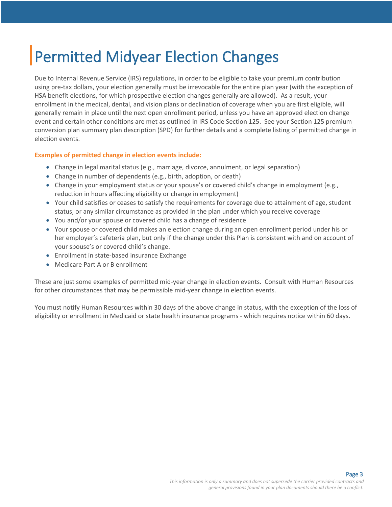# Permitted Midyear Election Changes

Due to Internal Revenue Service (IRS) regulations, in order to be eligible to take your premium contribution using pre-tax dollars, your election generally must be irrevocable for the entire plan year (with the exception of HSA benefit elections, for which prospective election changes generally are allowed). As a result, your enrollment in the medical, dental, and vision plans or declination of coverage when you are first eligible, will generally remain in place until the next open enrollment period, unless you have an approved election change event and certain other conditions are met as outlined in IRS Code Section 125. See your Section 125 premium conversion plan summary plan description (SPD) for further details and a complete listing of permitted change in election events.

#### **Examples of permitted change in election events include:**

- Change in legal marital status (e.g., marriage, divorce, annulment, or legal separation)
- Change in number of dependents (e.g., birth, adoption, or death)
- Change in your employment status or your spouse's or covered child's change in employment (e.g., reduction in hours affecting eligibility or change in employment)
- Your child satisfies or ceases to satisfy the requirements for coverage due to attainment of age, student status, or any similar circumstance as provided in the plan under which you receive coverage
- You and/or your spouse or covered child has a change of residence
- Your spouse or covered child makes an election change during an open enrollment period under his or her employer's cafeteria plan, but only if the change under this Plan is consistent with and on account of your spouse's or covered child's change.
- Enrollment in state-based insurance Exchange
- Medicare Part A or B enrollment

These are just some examples of permitted mid-year change in election events. Consult with Human Resources for other circumstances that may be permissible mid-year change in election events.

You must notify Human Resources within 30 days of the above change in status, with the exception of the loss of eligibility or enrollment in Medicaid or state health insurance programs - which requires notice within 60 days.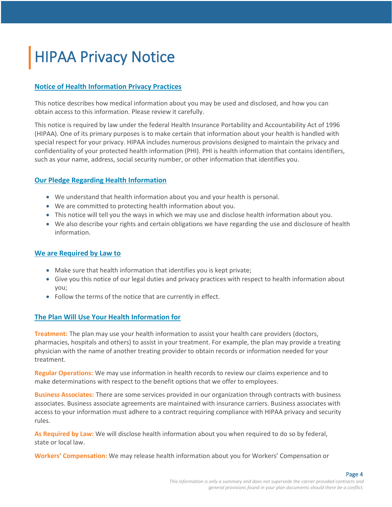# HIPAA Privacy Notice

# **Notice of Health Information Privacy Practices**

This notice describes how medical information about you may be used and disclosed, and how you can obtain access to this information. Please review it carefully.

This notice is required by law under the federal Health Insurance Portability and Accountability Act of 1996 (HIPAA). One of its primary purposes is to make certain that information about your health is handled with special respect for your privacy. HIPAA includes numerous provisions designed to maintain the privacy and confidentiality of your protected health information (PHI). PHI is health information that contains identifiers, such as your name, address, social security number, or other information that identifies you.

## **Our Pledge Regarding Health Information**

- We understand that health information about you and your health is personal.
- We are committed to protecting health information about you.
- This notice will tell you the ways in which we may use and disclose health information about you.
- We also describe your rights and certain obligations we have regarding the use and disclosure of health information.

### **We are Required by Law to**

- Make sure that health information that identifies you is kept private;
- Give you this notice of our legal duties and privacy practices with respect to health information about you;
- Follow the terms of the notice that are currently in effect.

### **The Plan Will Use Your Health Information for**

**Treatment:** The plan may use your health information to assist your health care providers (doctors, pharmacies, hospitals and others) to assist in your treatment. For example, the plan may provide a treating physician with the name of another treating provider to obtain records or information needed for your treatment.

**Regular Operations:** We may use information in health records to review our claims experience and to make determinations with respect to the benefit options that we offer to employees.

**Business Associates:** There are some services provided in our organization through contracts with business associates. Business associate agreements are maintained with insurance carriers. Business associates with access to your information must adhere to a contract requiring compliance with HIPAA privacy and security rules.

**As Required by Law:** We will disclose health information about you when required to do so by federal, state or local law.

**Workers' Compensation:** We may release health information about you for Workers' Compensation or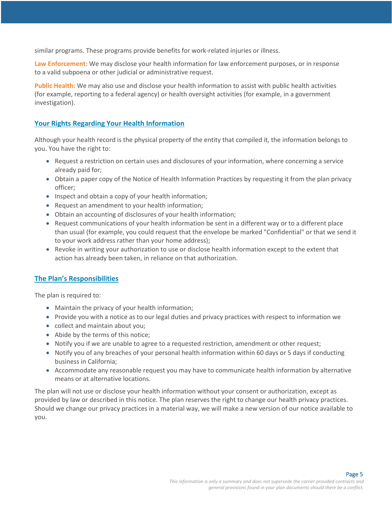similar programs. These programs provide benefits for work-related injuries or illness.

**Law Enforcement:** We may disclose your health information for law enforcement purposes, or in response to a valid subpoena or other judicial or administrative request.

**Public Health:** We may also use and disclose your health information to assist with public health activities (for example, reporting to a federal agency) or health oversight activities (for example, in a government investigation).

### **Your Rights Regarding Your Health Information**

Although your health record is the physical property of the entity that compiled it, the information belongs to you. You have the right to:

- Request a restriction on certain uses and disclosures of your information, where concerning a service already paid for;
- Obtain a paper copy of the Notice of Health Information Practices by requesting it from the plan privacy officer;
- Inspect and obtain a copy of your health information;
- Request an amendment to your health information;
- Obtain an accounting of disclosures of your health information;
- Request communications of your health information be sent in a different way or to a different place than usual (for example, you could request that the envelope be marked "Confidential" or that we send it to your work address rather than your home address);
- Revoke in writing your authorization to use or disclose health information except to the extent that action has already been taken, in reliance on that authorization.

#### **The Plan's Responsibilities**

The plan is required to:

- Maintain the privacy of your health information;
- Provide you with a notice as to our legal duties and privacy practices with respect to information we
- collect and maintain about you;
- Abide by the terms of this notice;
- Notify you if we are unable to agree to a requested restriction, amendment or other request;
- Notify you of any breaches of your personal health information within 60 days or 5 days if conducting business in California;
- Accommodate any reasonable request you may have to communicate health information by alternative means or at alternative locations.

The plan will not use or disclose your health information without your consent or authorization, except as provided by law or described in this notice. The plan reserves the right to change our health privacy practices. Should we change our privacy practices in a material way, we will make a new version of our notice available to you.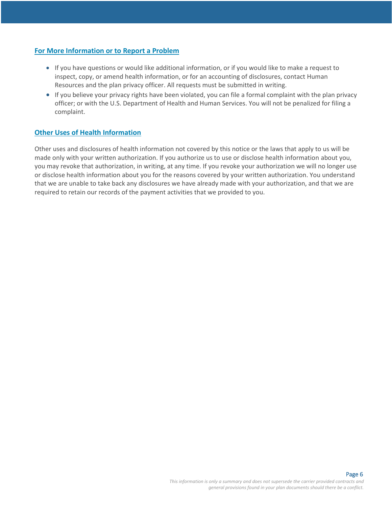#### **For More Information or to Report a Problem**

- If you have questions or would like additional information, or if you would like to make a request to inspect, copy, or amend health information, or for an accounting of disclosures, contact Human Resources and the plan privacy officer. All requests must be submitted in writing.
- If you believe your privacy rights have been violated, you can file a formal complaint with the plan privacy officer; or with the U.S. Department of Health and Human Services. You will not be penalized for filing a complaint.

#### **Other Uses of Health Information**

Other uses and disclosures of health information not covered by this notice or the laws that apply to us will be made only with your written authorization. If you authorize us to use or disclose health information about you, you may revoke that authorization, in writing, at any time. If you revoke your authorization we will no longer use or disclose health information about you for the reasons covered by your written authorization. You understand that we are unable to take back any disclosures we have already made with your authorization, and that we are required to retain our records of the payment activities that we provided to you.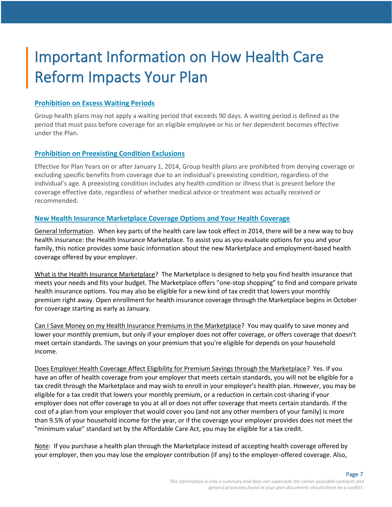# Important Information on How Health Care Reform Impacts Your Plan

## **Prohibition on Excess Waiting Periods**

Group health plans may not apply a waiting period that exceeds 90 days. A waiting period is defined as the period that must pass before coverage for an eligible employee or his or her dependent becomes effective under the Plan.

#### **Prohibition on Preexisting Condition Exclusions**

Effective for Plan Years on or after January 1, 2014, Group health plans are prohibited from denying coverage or excluding specific benefits from coverage due to an individual's preexisting condition, regardless of the individual's age. A preexisting condition includes any health condition or illness that is present before the coverage effective date, regardless of whether medical advice or treatment was actually received or recommended.

### **New Health Insurance Marketplace Coverage Options and Your Health Coverage**

General Information. When key parts of the health care law took effect in 2014, there will be a new way to buy health insurance: the Health Insurance Marketplace. To assist you as you evaluate options for you and your family, this notice provides some basic information about the new Marketplace and employment-based health coverage offered by your employer.

What is the Health Insurance Marketplace? The Marketplace is designed to help you find health insurance that meets your needs and fits your budget. The Marketplace offers "one-stop shopping" to find and compare private health insurance options. You may also be eligible for a new kind of tax credit that lowers your monthly premium right away. Open enrollment for health insurance coverage through the Marketplace begins in October for coverage starting as early as January.

Can I Save Money on my Health Insurance Premiums in the Marketplace? You may qualify to save money and lower your monthly premium, but only if your employer does not offer coverage, or offers coverage that doesn't meet certain standards. The savings on your premium that you're eligible for depends on your household income.

Does Employer Health Coverage Affect Eligibility for Premium Savings through the Marketplace? Yes. If you have an offer of health coverage from your employer that meets certain standards, you will not be eligible for a tax credit through the Marketplace and may wish to enroll in your employer's health plan. However, you may be eligible for a tax credit that lowers your monthly premium, or a reduction in certain cost-sharing if your employer does not offer coverage to you at all or does not offer coverage that meets certain standards. If the cost of a plan from your employer that would cover you (and not any other members of your family) is more than 9.5% of your household income for the year, or if the coverage your employer provides does not meet the "minimum value" standard set by the Affordable Care Act, you may be eligible for a tax credit.

Note: If you purchase a health plan through the Marketplace instead of accepting health coverage offered by your employer, then you may lose the employer contribution (if any) to the employer-offered coverage. Also,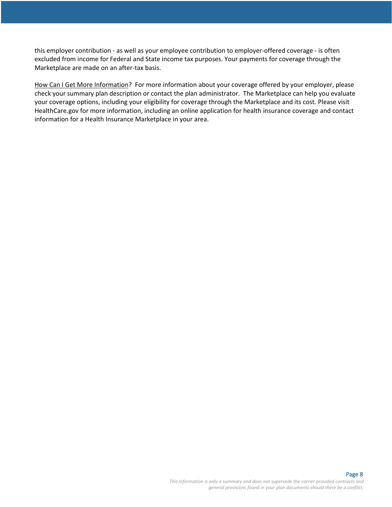this employer contribution - as well as your employee contribution to employer-offered coverage - is often excluded from income for Federal and State income tax purposes. Your payments for coverage through the Marketplace are made on an after-tax basis.

How Can I Get More Information? For more information about your coverage offered by your employer, please check your summary plan description or contact the plan administrator. The Marketplace can help you evaluate your coverage options, including your eligibility for coverage through the Marketplace and its cost. Please visit HealthCare.gov for more information, including an online application for health insurance coverage and contact information for a Health Insurance Marketplace in your area.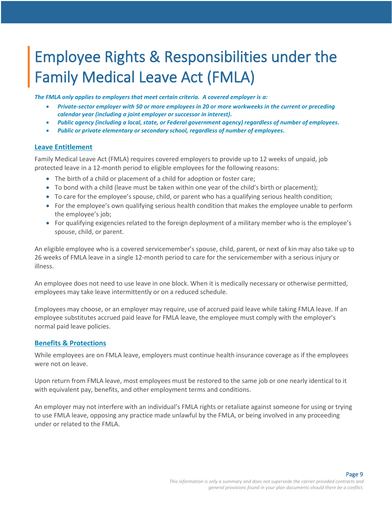# Employee Rights & Responsibilities under the Family Medical Leave Act (FMLA)

*The FMLA only applies to employers that meet certain criteria. A covered employer is a:*

- *Private-sector employer with 50 or more employees in 20 or more workweeks in the current or preceding calendar year (including a joint employer or successor in interest).*
- *Public agency (including a local, state, or Federal government agency) regardless of number of employees.*
- *Public or private elementary or secondary school, regardless of number of employees.*

#### **Leave Entitlement**

Family Medical Leave Act (FMLA) requires covered employers to provide up to 12 weeks of unpaid, job protected leave in a 12-month period to eligible employees for the following reasons:

- The birth of a child or placement of a child for adoption or foster care;
- To bond with a child (leave must be taken within one year of the child's birth or placement);
- To care for the employee's spouse, child, or parent who has a qualifying serious health condition;
- For the employee's own qualifying serious health condition that makes the employee unable to perform the employee's job;
- For qualifying exigencies related to the foreign deployment of a military member who is the employee's spouse, child, or parent.

An eligible employee who is a covered servicemember's spouse, child, parent, or next of kin may also take up to 26 weeks of FMLA leave in a single 12-month period to care for the servicemember with a serious injury or illness.

An employee does not need to use leave in one block. When it is medically necessary or otherwise permitted, employees may take leave intermittently or on a reduced schedule.

Employees may choose, or an employer may require, use of accrued paid leave while taking FMLA leave. If an employee substitutes accrued paid leave for FMLA leave, the employee must comply with the employer's normal paid leave policies.

#### **Benefits & Protections**

While employees are on FMLA leave, employers must continue health insurance coverage as if the employees were not on leave.

Upon return from FMLA leave, most employees must be restored to the same job or one nearly identical to it with equivalent pay, benefits, and other employment terms and conditions.

An employer may not interfere with an individual's FMLA rights or retaliate against someone for using or trying to use FMLA leave, opposing any practice made unlawful by the FMLA, or being involved in any proceeding under or related to the FMLA.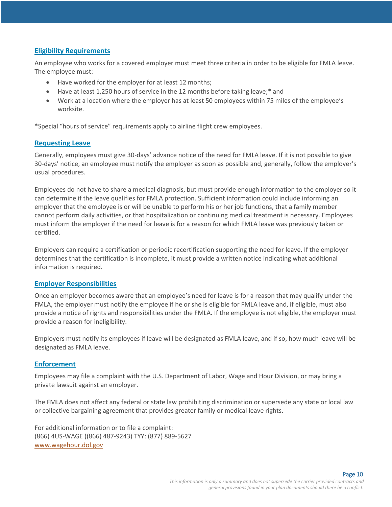### **Eligibility Requirements**

An employee who works for a covered employer must meet three criteria in order to be eligible for FMLA leave. The employee must:

- Have worked for the employer for at least 12 months;
- Have at least 1,250 hours of service in the 12 months before taking leave;\* and
- Work at a location where the employer has at least 50 employees within 75 miles of the employee's worksite.

\*Special "hours of service" requirements apply to airline flight crew employees.

#### **Requesting Leave**

Generally, employees must give 30-days' advance notice of the need for FMLA leave. If it is not possible to give 30-days' notice, an employee must notify the employer as soon as possible and, generally, follow the employer's usual procedures.

Employees do not have to share a medical diagnosis, but must provide enough information to the employer so it can determine if the leave qualifies for FMLA protection. Sufficient information could include informing an employer that the employee is or will be unable to perform his or her job functions, that a family member cannot perform daily activities, or that hospitalization or continuing medical treatment is necessary. Employees must inform the employer if the need for leave is for a reason for which FMLA leave was previously taken or certified.

Employers can require a certification or periodic recertification supporting the need for leave. If the employer determines that the certification is incomplete, it must provide a written notice indicating what additional information is required.

### **Employer Responsibilities**

Once an employer becomes aware that an employee's need for leave is for a reason that may qualify under the FMLA, the employer must notify the employee if he or she is eligible for FMLA leave and, if eligible, must also provide a notice of rights and responsibilities under the FMLA. If the employee is not eligible, the employer must provide a reason for ineligibility.

Employers must notify its employees if leave will be designated as FMLA leave, and if so, how much leave will be designated as FMLA leave.

### **Enforcement**

Employees may file a complaint with the U.S. Department of Labor, Wage and Hour Division, or may bring a private lawsuit against an employer.

The FMLA does not affect any federal or state law prohibiting discrimination or supersede any state or local law or collective bargaining agreement that provides greater family or medical leave rights.

For additional information or to file a complaint: (866) 4US-WAGE ((866) 487-9243) TYY: (877) 889-5627 [www.wagehour.dol.gov](http://www.wagehour.dol.gov/)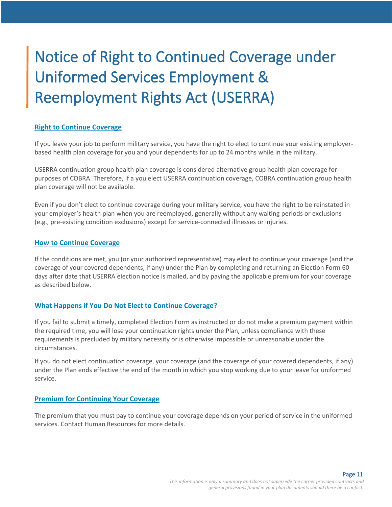# Notice of Right to Continued Coverage under Uniformed Services Employment & Reemployment Rights Act (USERRA)

#### **Right to Continue Coverage**

If you leave your job to perform military service, you have the right to elect to continue your existing employerbased health plan coverage for you and your dependents for up to 24 months while in the military.

USERRA continuation group health plan coverage is considered alternative group health plan coverage for purposes of COBRA. Therefore, if a you elect USERRA continuation coverage, COBRA continuation group health plan coverage will not be available.

Even if you don't elect to continue coverage during your military service, you have the right to be reinstated in your employer's health plan when you are reemployed, generally without any waiting periods or exclusions (e.g., pre-existing condition exclusions) except for service-connected illnesses or injuries.

#### **How to Continue Coverage**

If the conditions are met, you (or your authorized representative) may elect to continue your coverage (and the coverage of your covered dependents, if any) under the Plan by completing and returning an Election Form 60 days after date that USERRA election notice is mailed, and by paying the applicable premium for your coverage as described below.

#### **What Happens if You Do Not Elect to Continue Coverage?**

If you fail to submit a timely, completed Election Form as instructed or do not make a premium payment within the required time, you will lose your continuation rights under the Plan, unless compliance with these requirements is precluded by military necessity or is otherwise impossible or unreasonable under the circumstances.

If you do not elect continuation coverage, your coverage (and the coverage of your covered dependents, if any) under the Plan ends effective the end of the month in which you stop working due to your leave for uniformed service.

#### **Premium for Continuing Your Coverage**

The premium that you must pay to continue your coverage depends on your period of service in the uniformed services. Contact Human Resources for more details.